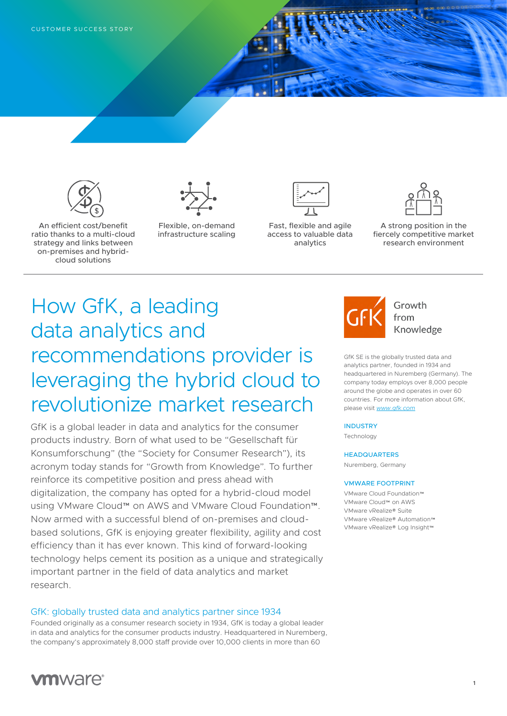

An efficient cost/benefit ratio thanks to a multi-cloud strategy and links between on-premises and hybridcloud solutions



Flexible, on-demand infrastructure scaling



Fast, flexible and agile access to valuable data analytics



A strong position in the fiercely competitive market research environment

# How GfK, a leading data analytics and recommendations provider is leveraging the hybrid cloud to revolutionize market research

GfK is a global leader in data and analytics for the consumer products industry. Born of what used to be "Gesellschaft für Konsumforschung" (the "Society for Consumer Research"), its acronym today stands for "Growth from Knowledge". To further reinforce its competitive position and press ahead with digitalization, the company has opted for a hybrid-cloud model using VMware Cloud™ on AWS and VMware Cloud Foundation™. Now armed with a successful blend of on-premises and cloudbased solutions, GfK is enjoying greater flexibility, agility and cost efficiency than it has ever known. This kind of forward-looking technology helps cement its position as a unique and strategically important partner in the field of data analytics and market research.

## GfK: globally trusted data and analytics partner since 1934

Founded originally as a consumer research society in 1934, GfK is today a global leader in data and analytics for the consumer products industry. Headquartered in Nuremberg, the company's approximately 8,000 staff provide over 10,000 clients in more than 60



Growth from Knowledge

GfK SE is the globally trusted data and analytics partner, founded in 1934 and headquartered in Nuremberg (Germany). The company today employs over 8,000 people around the globe and operates in over 60 countries. For more information about GfK, please visit *[www.gfk.com](http://www.gfk.com)*

#### **INDUSTRY**

**Technology** 

#### **HEADQUARTERS**

Nuremberg, Germany

#### VMWARE FOOTPRINT

VMware Cloud Foundation™ VMware Cloud™ on AWS VMware vRealize® Suite VMware vRealize® Automation™ VMware vRealize® Log Insight™

**1**

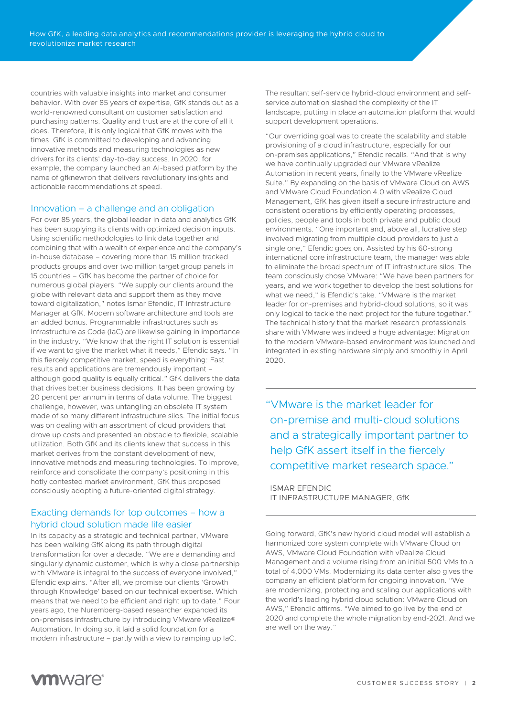countries with valuable insights into market and consumer behavior. With over 85 years of expertise, GfK stands out as a world-renowned consultant on customer satisfaction and purchasing patterns. Quality and trust are at the core of all it does. Therefore, it is only logical that GfK moves with the times. GfK is committed to developing and advancing innovative methods and measuring technologies as new drivers for its clients' day-to-day success. In 2020, for example, the company launched an AI-based platform by the name of gfknewron that delivers revolutionary insights and actionable recommendations at speed.

### Innovation – a challenge and an obligation

For over 85 years, the global leader in data and analytics GfK has been supplying its clients with optimized decision inputs. Using scientific methodologies to link data together and combining that with a wealth of experience and the company's in-house database – covering more than 15 million tracked products groups and over two million target group panels in 15 countries – GfK has become the partner of choice for numerous global players. "We supply our clients around the globe with relevant data and support them as they move toward digitalization," notes Ismar Efendic, IT Infrastructure Manager at GfK. Modern software architecture and tools are an added bonus. Programmable infrastructures such as Infrastructure as Code (IaC) are likewise gaining in importance in the industry. "We know that the right IT solution is essential if we want to give the market what it needs," Efendic says. "In this fiercely competitive market, speed is everything: Fast results and applications are tremendously important – although good quality is equally critical." GfK delivers the data that drives better business decisions. It has been growing by 20 percent per annum in terms of data volume. The biggest challenge, however, was untangling an obsolete IT system made of so many different infrastructure silos. The initial focus was on dealing with an assortment of cloud providers that drove up costs and presented an obstacle to flexible, scalable utilization. Both GfK and its clients knew that success in this market derives from the constant development of new, innovative methods and measuring technologies. To improve, reinforce and consolidate the company's positioning in this hotly contested market environment, GfK thus proposed consciously adopting a future-oriented digital strategy.

## Exacting demands for top outcomes – how a hybrid cloud solution made life easier

In its capacity as a strategic and technical partner, VMware has been walking GfK along its path through digital transformation for over a decade. "We are a demanding and singularly dynamic customer, which is why a close partnership with VMware is integral to the success of everyone involved,' Efendic explains. "After all, we promise our clients 'Growth through Knowledge' based on our technical expertise. Which means that we need to be efficient and right up to date." Four years ago, the Nuremberg-based researcher expanded its on-premises infrastructure by introducing VMware vRealize® Automation. In doing so, it laid a solid foundation for a modern infrastructure – partly with a view to ramping up IaC.

The resultant self-service hybrid-cloud environment and selfservice automation slashed the complexity of the IT landscape, putting in place an automation platform that would support development operations.

"Our overriding goal was to create the scalability and stable provisioning of a cloud infrastructure, especially for our on-premises applications," Efendic recalls. "And that is why we have continually upgraded our VMware vRealize Automation in recent years, finally to the VMware vRealize Suite." By expanding on the basis of VMware Cloud on AWS and VMware Cloud Foundation 4.0 with vRealize Cloud Management, GfK has given itself a secure infrastructure and consistent operations by efficiently operating processes, policies, people and tools in both private and public cloud environments. "One important and, above all, lucrative step involved migrating from multiple cloud providers to just a single one," Efendic goes on. Assisted by his 60-strong international core infrastructure team, the manager was able to eliminate the broad spectrum of IT infrastructure silos. The team consciously chose VMware: "We have been partners for years, and we work together to develop the best solutions for what we need," is Efendic's take. "VMware is the market leader for on-premises and hybrid-cloud solutions, so it was only logical to tackle the next project for the future together." The technical history that the market research professionals share with VMware was indeed a huge advantage: Migration to the modern VMware-based environment was launched and integrated in existing hardware simply and smoothly in April 2020.

"VMware is the market leader for on-premise and multi-cloud solutions and a strategically important partner to help GfK assert itself in the fiercely competitive market research space."

## ISMAR EFENDIC IT INFRASTRUCTURE MANAGER, GfK

Going forward, GfK's new hybrid cloud model will establish a harmonized core system complete with VMware Cloud on AWS, VMware Cloud Foundation with vRealize Cloud Management and a volume rising from an initial 500 VMs to a total of 4,000 VMs. Modernizing its data center also gives the company an efficient platform for ongoing innovation. "We are modernizing, protecting and scaling our applications with the world's leading hybrid cloud solution: VMware Cloud on AWS," Efendic affirms. "We aimed to go live by the end of 2020 and complete the whole migration by end-2021. And we are well on the way."